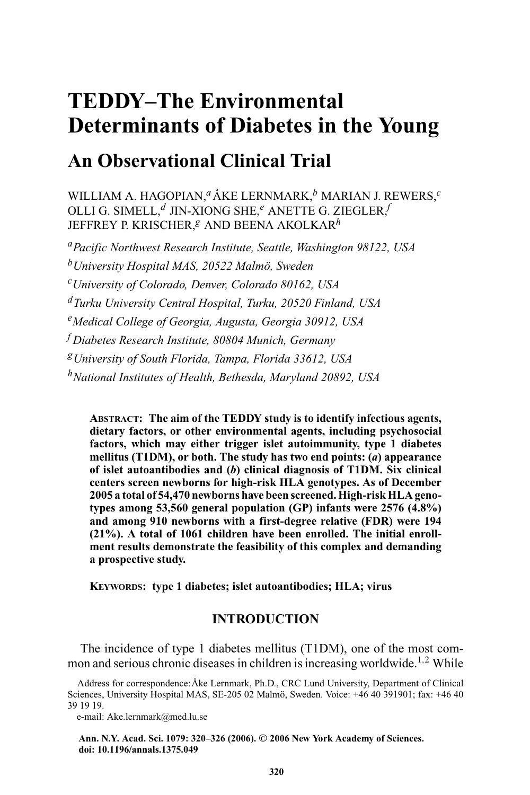# **TEDDY–The Environmental Determinants of Diabetes in the Young**

# **An Observational Clinical Trial**

WILLIAM A. HAGOPIAN,<sup>a</sup> ÅKE LERNMARK,<sup>b</sup> MARIAN J. REWERS,<sup>c</sup> OLLI G. SIMELL,*<sup>d</sup>* JIN-XIONG SHE,*<sup>e</sup>* ANETTE G. ZIEGLER,*<sup>f</sup>* JEFFREY P. KRISCHER,*<sup>g</sup>* AND BEENA AKOLKAR*<sup>h</sup>*

*aPacific Northwest Research Institute, Seattle, Washington 98122, USA bUniversity Hospital MAS, 20522 Malm¨o, Sweden cUniversity of Colorado, Denver, Colorado 80162, USA dTurku University Central Hospital, Turku, 20520 Finland, USA eMedical College of Georgia, Augusta, Georgia 30912, USA <sup>f</sup> Diabetes Research Institute, 80804 Munich, Germany gUniversity of South Florida, Tampa, Florida 33612, USA hNational Institutes of Health, Bethesda, Maryland 20892, USA*

**ABSTRACT: The aim of the TEDDY study is to identify infectious agents, dietary factors, or other environmental agents, including psychosocial factors, which may either trigger islet autoimmunity, type 1 diabetes mellitus (T1DM), or both. The study has two end points: (***a***) appearance of islet autoantibodies and (***b***) clinical diagnosis of T1DM. Six clinical centers screen newborns for high-risk HLA genotypes. As of December 2005 a total of 54,470 newborns have been screened. High-risk HLA genotypes among 53,560 general population (GP) infants were 2576 (4.8%) and among 910 newborns with a first-degree relative (FDR) were 194 (21%). A total of 1061 children have been enrolled. The initial enrollment results demonstrate the feasibility of this complex and demanding a prospective study.**

**KEYWORDS: type 1 diabetes; islet autoantibodies; HLA; virus**

# **INTRODUCTION**

The incidence of type 1 diabetes mellitus (T1DM), one of the most common and serious chronic diseases in children is increasing worldwide.<sup>1,2</sup> While

e-mail: Ake.lernmark@med.lu.se

**Ann. N.Y. Acad. Sci. 1079: 320–326 (2006).** *-***<sup>C</sup> 2006 New York Academy of Sciences. doi: 10.1196/annals.1375.049**

Address for correspondence: Åke Lernmark, Ph.D., CRC Lund University, Department of Clinical Sciences, University Hospital MAS, SE-205 02 Malmö, Sweden. Voice: +46 40 391901; fax: +46 40 39 19 19.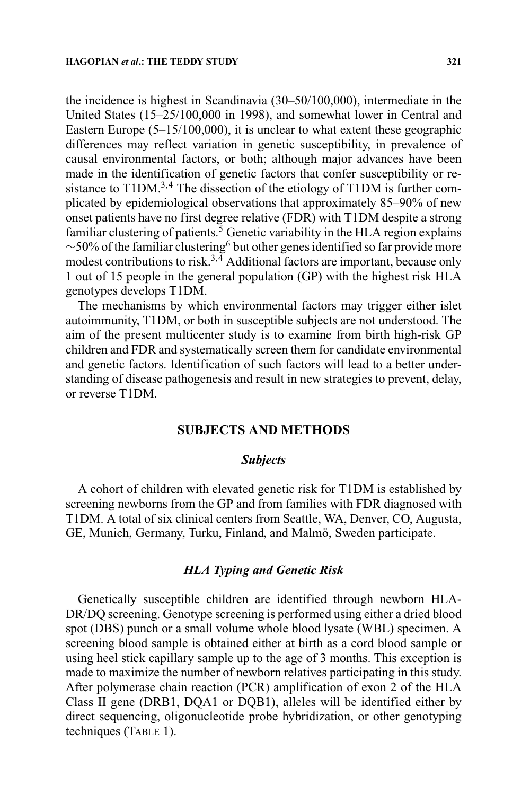the incidence is highest in Scandinavia (30–50/100,000), intermediate in the United States (15–25/100,000 in 1998), and somewhat lower in Central and Eastern Europe (5–15/100,000), it is unclear to what extent these geographic differences may reflect variation in genetic susceptibility, in prevalence of causal environmental factors, or both; although major advances have been made in the identification of genetic factors that confer susceptibility or resistance to  $T1DM^{3,4}$ . The dissection of the etiology of T1DM is further complicated by epidemiological observations that approximately 85–90% of new onset patients have no first degree relative (FDR) with T1DM despite a strong familiar clustering of patients. $\frac{5}{9}$  Genetic variability in the HLA region explains  $~\sim$ 50% of the familiar clustering<sup>6</sup> but other genes identified so far provide more modest contributions to risk.<sup>3,4</sup> Additional factors are important, because only 1 out of 15 people in the general population (GP) with the highest risk HLA genotypes develops T1DM.

The mechanisms by which environmental factors may trigger either islet autoimmunity, T1DM, or both in susceptible subjects are not understood. The aim of the present multicenter study is to examine from birth high-risk GP children and FDR and systematically screen them for candidate environmental and genetic factors. Identification of such factors will lead to a better understanding of disease pathogenesis and result in new strategies to prevent, delay, or reverse T1DM.

# **SUBJECTS AND METHODS**

#### *Subjects*

A cohort of children with elevated genetic risk for T1DM is established by screening newborns from the GP and from families with FDR diagnosed with T1DM. A total of six clinical centers from Seattle, WA, Denver, CO, Augusta, GE, Munich, Germany, Turku, Finland, and Malmö, Sweden participate.

#### *HLA Typing and Genetic Risk*

Genetically susceptible children are identified through newborn HLA-DR/DQ screening. Genotype screening is performed using either a dried blood spot (DBS) punch or a small volume whole blood lysate (WBL) specimen. A screening blood sample is obtained either at birth as a cord blood sample or using heel stick capillary sample up to the age of 3 months. This exception is made to maximize the number of newborn relatives participating in this study. After polymerase chain reaction (PCR) amplification of exon 2 of the HLA Class II gene (DRB1, DQA1 or DQB1), alleles will be identified either by direct sequencing, oligonucleotide probe hybridization, or other genotyping techniques (TABLE 1).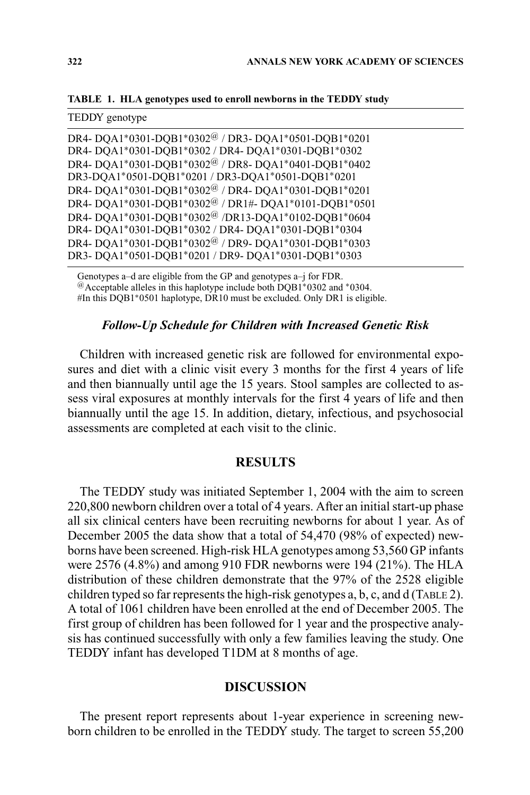**TABLE 1. HLA genotypes used to enroll newborns in the TEDDY study**

Genotypes a–d are eligible from the GP and genotypes a–j for FDR. @Acceptable alleles in this haplotype include both DQB1∗0302 and <sup>∗</sup>0304. #In this DQB1∗0501 haplotype, DR10 must be excluded. Only DR1 is eligible.

#### *Follow-Up Schedule for Children with Increased Genetic Risk*

Children with increased genetic risk are followed for environmental exposures and diet with a clinic visit every 3 months for the first 4 years of life and then biannually until age the 15 years. Stool samples are collected to assess viral exposures at monthly intervals for the first 4 years of life and then biannually until the age 15. In addition, dietary, infectious, and psychosocial assessments are completed at each visit to the clinic.

### **RESULTS**

The TEDDY study was initiated September 1, 2004 with the aim to screen 220,800 newborn children over a total of 4 years. After an initial start-up phase all six clinical centers have been recruiting newborns for about 1 year. As of December 2005 the data show that a total of 54,470 (98% of expected) newborns have been screened. High-risk HLA genotypes among 53,560 GP infants were 2576 (4.8%) and among 910 FDR newborns were 194 (21%). The HLA distribution of these children demonstrate that the 97% of the 2528 eligible children typed so far represents the high-risk genotypes a, b, c, and d (TABLE 2). A total of 1061 children have been enrolled at the end of December 2005. The first group of children has been followed for 1 year and the prospective analysis has continued successfully with only a few families leaving the study. One TEDDY infant has developed T1DM at 8 months of age.

#### **DISCUSSION**

The present report represents about 1-year experience in screening newborn children to be enrolled in the TEDDY study. The target to screen 55,200

 $T_{\text{FDD}}$  $\gamma$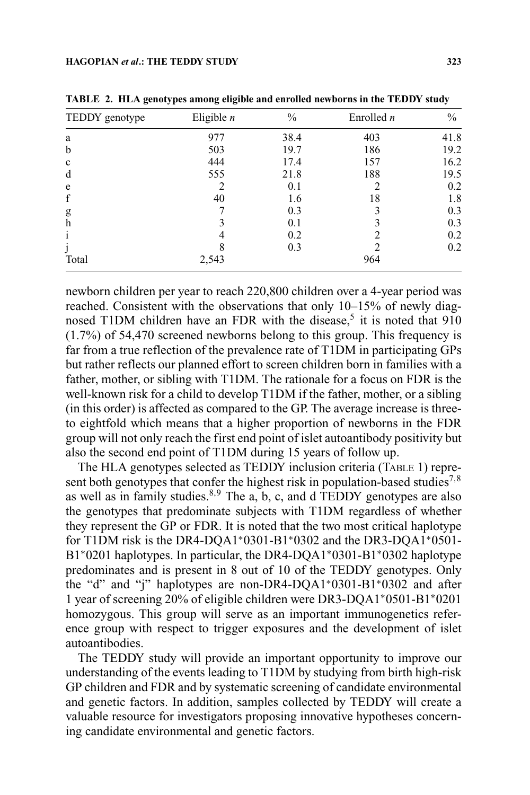| TEDDY genotype | Eligible $n$ | $\frac{0}{0}$ | Enrolled $n$ | $\%$ |
|----------------|--------------|---------------|--------------|------|
| a              | 977          | 38.4          | 403          | 41.8 |
| $\mathbf b$    | 503          | 19.7          | 186          | 19.2 |
| $\mathbf c$    | 444          | 17.4          | 157          | 16.2 |
| d              | 555          | 21.8          | 188          | 19.5 |
| e              |              | 0.1           |              | 0.2  |
| f              | 40           | 1.6           | 18           | 1.8  |
| g              |              | 0.3           | 3            | 0.3  |
| $\mathbf h$    |              | 0.1           | 3            | 0.3  |
| 1              |              | 0.2           | ∍            | 0.2  |
| J              |              | 0.3           | ∍            | 0.2  |
| Total          | 2,543        |               | 964          |      |

**TABLE 2. HLA genotypes among eligible and enrolled newborns in the TEDDY study**

newborn children per year to reach 220,800 children over a 4-year period was reached. Consistent with the observations that only 10–15% of newly diagnosed T1DM children have an FDR with the disease.<sup>5</sup> it is noted that 910 (1.7%) of 54,470 screened newborns belong to this group. This frequency is far from a true reflection of the prevalence rate of T1DM in participating GPs but rather reflects our planned effort to screen children born in families with a father, mother, or sibling with T1DM. The rationale for a focus on FDR is the well-known risk for a child to develop T1DM if the father, mother, or a sibling (in this order) is affected as compared to the GP. The average increase is threeto eightfold which means that a higher proportion of newborns in the FDR group will not only reach the first end point of islet autoantibody positivity but also the second end point of T1DM during 15 years of follow up.

The HLA genotypes selected as TEDDY inclusion criteria (TABLE 1) represent both genotypes that confer the highest risk in population-based studies<sup>7,8</sup> as well as in family studies.<sup>8,9</sup> The a, b, c, and d TEDDY genotypes are also the genotypes that predominate subjects with T1DM regardless of whether they represent the GP or FDR. It is noted that the two most critical haplotype for T1DM risk is the DR4-DQA1∗0301-B1∗0302 and the DR3-DQA1∗0501- B1∗0201 haplotypes. In particular, the DR4-DQA1∗0301-B1∗0302 haplotype predominates and is present in 8 out of 10 of the TEDDY genotypes. Only the "d" and "j" haplotypes are non-DR4-DQA1∗0301-B1∗0302 and after 1 year of screening 20% of eligible children were DR3-DQA1∗0501-B1∗0201 homozygous. This group will serve as an important immunogenetics reference group with respect to trigger exposures and the development of islet autoantibodies.

The TEDDY study will provide an important opportunity to improve our understanding of the events leading to T1DM by studying from birth high-risk GP children and FDR and by systematic screening of candidate environmental and genetic factors. In addition, samples collected by TEDDY will create a valuable resource for investigators proposing innovative hypotheses concerning candidate environmental and genetic factors.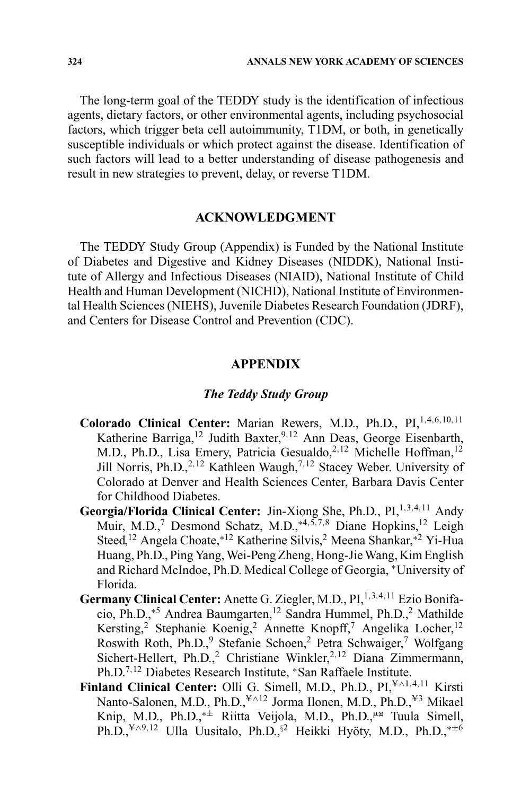The long-term goal of the TEDDY study is the identification of infectious agents, dietary factors, or other environmental agents, including psychosocial factors, which trigger beta cell autoimmunity, T1DM, or both, in genetically susceptible individuals or which protect against the disease. Identification of such factors will lead to a better understanding of disease pathogenesis and result in new strategies to prevent, delay, or reverse T1DM.

# **ACKNOWLEDGMENT**

The TEDDY Study Group (Appendix) is Funded by the National Institute of Diabetes and Digestive and Kidney Diseases (NIDDK), National Institute of Allergy and Infectious Diseases (NIAID), National Institute of Child Health and Human Development (NICHD), National Institute of Environmental Health Sciences (NIEHS), Juvenile Diabetes Research Foundation (JDRF), and Centers for Disease Control and Prevention (CDC).

# **APPENDIX**

#### *The Teddy Study Group*

- **Colorado Clinical Center:** Marian Rewers, M.D., Ph.D., PI,1,4,6,10,<sup>11</sup> Katherine Barriga,<sup>12</sup> Judith Baxter,<sup>9,12</sup> Ann Deas, George Eisenbarth, M.D., Ph.D., Lisa Emery, Patricia Gesualdo,<sup>2,12</sup> Michelle Hoffman,<sup>12</sup> Jill Norris, Ph.D.,<sup>2,12</sup> Kathleen Waugh,<sup>7,12</sup> Stacey Weber. University of Colorado at Denver and Health Sciences Center, Barbara Davis Center for Childhood Diabetes.
- **Georgia/Florida Clinical Center:** Jin-Xiong She, Ph.D., PI,<sup>1,3,4,11</sup> Andy Muir, M.D.,<sup>7</sup> Desmond Schatz, M.D.,<sup>\*4,5,7,8</sup> Diane Hopkins,<sup>12</sup> Leigh Steed,<sup>12</sup> Angela Choate,∗<sup>12</sup> Katherine Silvis,2 Meena Shankar,∗<sup>2</sup> Yi-Hua Huang, Ph.D., Ping Yang, Wei-Peng Zheng, Hong-Jie Wang, Kim English and Richard McIndoe, Ph.D. Medical College of Georgia, <sup>∗</sup>University of Florida.
- **Germany Clinical Center:** Anette G. Ziegler, M.D., PI,<sup>1,3,4,11</sup> Ezio Bonifacio, Ph.D.,∗<sup>5</sup> Andrea Baumgarten,12 Sandra Hummel, Ph.D.,<sup>2</sup> Mathilde Kersting,<sup>2</sup> Stephanie Koenig,<sup>2</sup> Annette Knopff,<sup>7</sup> Angelika Locher,<sup>12</sup> Roswith Roth, Ph.D., Stefanie Schoen, Petra Schwaiger,<sup>7</sup> Wolfgang Sichert-Hellert, Ph.D.,<sup>2</sup> Christiane Winkler,<sup>2,12</sup> Diana Zimmermann, Ph.D.<sup>7</sup>,<sup>12</sup> Diabetes Research Institute, <sup>∗</sup>San Raffaele Institute.
- **Finland Clinical Center:** Olli G. Simell, M.D., Ph.D., PI,<sup>¥∧1,4,11</sup> Kirsti Nanto-Salonen, M.D., Ph.D.,<sup>¥∧12</sup> Jorma Ilonen, M.D., Ph.D.,<sup>¥3</sup> Mikael Knip, M.D., Ph.D.,<sup>\*±</sup> Riitta Veijola, M.D., Ph.D.,<sup>µx</sup> Tuula Simell, Ph.D.,<sup>¥∧9,12</sup> Ulla Uusitalo, Ph.D.,<sup>§2</sup> Heikki Hyöty, M.D., Ph.D.,<sup>∗±6</sup>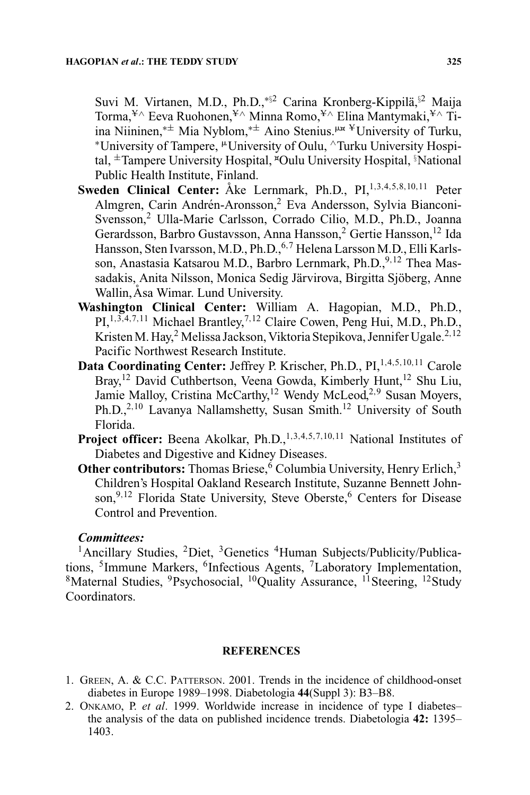Suvi M. Virtanen, M.D., Ph.D.,\*<sup>§2</sup> Carina Kronberg-Kippilä,<sup>§2</sup> Maija Torma,<sup>¥∧</sup> Eeva Ruohonen,<sup>¥∧</sup> Minna Romo,<sup>¥∧</sup> Elina Mantymaki,<sup>¥∧</sup> Tiina Niininen,<sup>∗±</sup> Mia Nyblom,<sup>∗±</sup> Aino Stenius.<sup>µ¤ ¥</sup>University of Turku, \*University of Tampere, <sup>µ</sup>University of Oulu, ^Turku University Hospital, ±Tampere University Hospital, \*Oulu University Hospital, §National Public Health Institute, Finland.

- Sweden Clinical Center: Åke Lernmark, Ph.D., PI.<sup>1,3,4,5,8,10,11</sup> Peter Almgren, Carin Andrén-Aronsson,<sup>2</sup> Eva Andersson, Sylvia Bianconi-Svensson,2 Ulla-Marie Carlsson, Corrado Cilio, M.D., Ph.D., Joanna Gerardsson, Barbro Gustavsson, Anna Hansson,<sup>2</sup> Gertie Hansson,<sup>12</sup> Ida Hansson, Sten Ivarsson, M.D., Ph.D., <sup>6,7</sup> Helena Larsson M.D., Elli Karlsson, Anastasia Katsarou M.D., Barbro Lernmark, Ph.D., 9,12 Thea Massadakis, Anita Nilsson, Monica Sedig Järvirova, Birgitta Sjöberg, Anne Wallin, Åsa Wimar. Lund University.
- **Washington Clinical Center:** William A. Hagopian, M.D., Ph.D., PI,<sup>1,3,4,7,11</sup> Michael Brantley,<sup>7,12</sup> Claire Cowen, Peng Hui, M.D., Ph.D., Kristen M. Hay,<sup>2</sup> Melissa Jackson, Viktoria Stepikova, Jennifer Ugale.<sup>2,12</sup> Pacific Northwest Research Institute.
- Data Coordinating Center: Jeffrey P. Krischer, Ph.D., PI,<sup>1,4,5,10,11</sup> Carole Bray,<sup>12</sup> David Cuthbertson, Veena Gowda, Kimberly Hunt,<sup>12</sup> Shu Liu, Jamie Malloy, Cristina McCarthy,<sup>12</sup> Wendy McLeod,<sup>2,9</sup> Susan Moyers, Ph.D.,<sup>2,10</sup> Lavanya Nallamshetty, Susan Smith.<sup>12</sup> University of South Florida.
- **Project officer:** Beena Akolkar, Ph.D.,<sup>1,3,4,5,7,10,11</sup> National Institutes of Diabetes and Digestive and Kidney Diseases.
- **Other contributors:** Thomas Briese,<sup>6</sup> Columbia University, Henry Erlich,<sup>3</sup> Children's Hospital Oakland Research Institute, Suzanne Bennett Johnson,<sup>9,12</sup> Florida State University, Steve Oberste,<sup>6</sup> Centers for Disease Control and Prevention.

# *Committees:*

 $1$ Ancillary Studies,  $2$ Diet,  $3$ Genetics  $4$ Human Subjects/Publicity/Publications, <sup>5</sup>Immune Markers, <sup>6</sup>Infectious Agents, <sup>7</sup>Laboratory Implementation, <sup>8</sup>Maternal Studies, <sup>9</sup>Psychosocial, <sup>10</sup>Quality Assurance, <sup>11</sup>Steering, <sup>12</sup>Study Coordinators.

#### **REFERENCES**

- 1. GREEN, A. & C.C. PATTERSON. 2001. Trends in the incidence of childhood-onset diabetes in Europe 1989–1998. Diabetologia **44**(Suppl 3): B3–B8.
- 2. ONKAMO, P. *et al*. 1999. Worldwide increase in incidence of type I diabetes– the analysis of the data on published incidence trends. Diabetologia **42:** 1395– 1403.